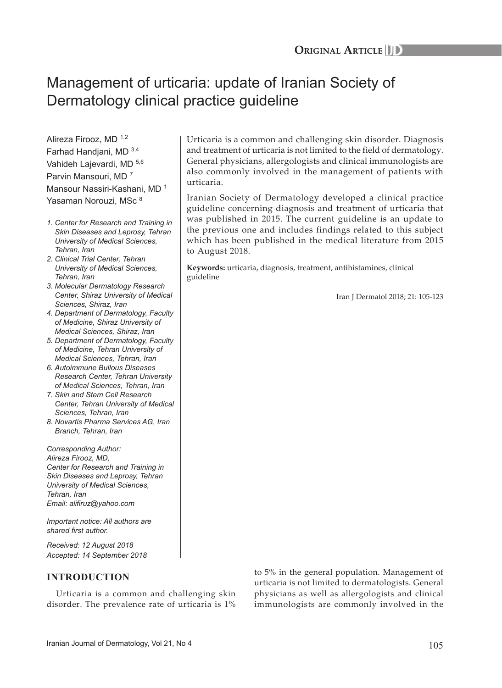# Management of urticaria: update of Iranian Society of Dermatology clinical practice guideline

Alireza Firooz, MD 1,2 Farhad Handjani, MD 3,4 Vahideh Lajevardi, MD 5,6 Parvin Mansouri, MD 7 Mansour Nassiri-Kashani, MD 1 Yasaman Norouzi, MSc 8

- *1. Center for Research and Training in Skin Diseases and Leprosy, Tehran University of Medical Sciences, Tehran, Iran*
- *2. Clinical Trial Center, Tehran University of Medical Sciences, Tehran, Iran*
- *3. Molecular Dermatology Research Center, Shiraz University of Medical Sciences, Shiraz, Iran*
- *4. Department of Dermatology, Faculty of Medicine, Shiraz University of Medical Sciences, Shiraz, Iran*
- *5. Department of Dermatology, Faculty of Medicine, Tehran University of Medical Sciences, Tehran, Iran*
- *6. Autoimmune Bullous Diseases Research Center, Tehran University of Medical Sciences, Tehran, Iran*
- *7. Skin and Stem Cell Research Center, Tehran University of Medical Sciences, Tehran, Iran*
- *8. Novartis Pharma Services AG, Iran Branch, Tehran, Iran*

*Corresponding Author: Alireza Firooz, MD, Center for Research and Training in Skin Diseases and Leprosy, Tehran University of Medical Sciences, Tehran, Iran Email: alifiruz@yahoo.com*

*Important notice: All authors are shared first author.*

*Received: 12 August 2018 Accepted: 14 September 2018*

# **INTRODUCTION**

Urticaria is a common and challenging skin disorder. The prevalence rate of urticaria is 1%

Urticaria is a common and challenging skin disorder. Diagnosis and treatment of urticaria is not limited to the field of dermatology. General physicians, allergologists and clinical immunologists are also commonly involved in the management of patients with urticaria.

Iranian Society of Dermatology developed a clinical practice guideline concerning diagnosis and treatment of urticaria that was published in 2015. The current guideline is an update to the previous one and includes findings related to this subject which has been published in the medical literature from 2015 to August 2018.

**Keywords:** urticaria, diagnosis, treatment, antihistamines, clinical guideline

Iran J Dermatol 2018; 21: 105-123

to 5% in the general population. Management of urticaria is not limited to dermatologists. General physicians as well as allergologists and clinical immunologists are commonly involved in the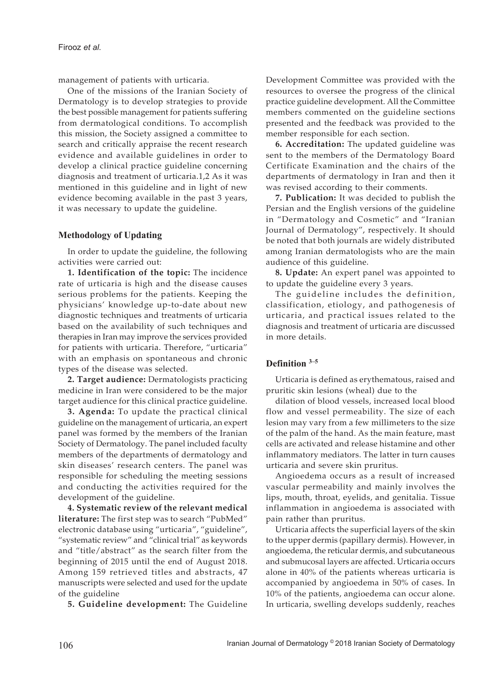management of patients with urticaria.

One of the missions of the Iranian Society of Dermatology is to develop strategies to provide the best possible management for patients suffering from dermatological conditions. To accomplish this mission, the Society assigned a committee to search and critically appraise the recent research evidence and available guidelines in order to develop a clinical practice guideline concerning diagnosis and treatment of urticaria.1,2 As it was mentioned in this guideline and in light of new evidence becoming available in the past 3 years, it was necessary to update the guideline.

## **Methodology of Updating**

In order to update the guideline, the following activities were carried out:

**1. Identification of the topic:** The incidence rate of urticaria is high and the disease causes serious problems for the patients. Keeping the physicians' knowledge up-to-date about new diagnostic techniques and treatments of urticaria based on the availability of such techniques and therapies in Iran may improve the services provided for patients with urticaria. Therefore, "urticaria" with an emphasis on spontaneous and chronic types of the disease was selected.

**2. Target audience:** Dermatologists practicing medicine in Iran were considered to be the major target audience for this clinical practice guideline.

**3. Agenda:** To update the practical clinical guideline on the management of urticaria, an expert panel was formed by the members of the Iranian Society of Dermatology. The panel included faculty members of the departments of dermatology and skin diseases' research centers. The panel was responsible for scheduling the meeting sessions and conducting the activities required for the development of the guideline.

**4. Systematic review of the relevant medical literature:** The first step was to search "PubMed" electronic database using "urticaria", "guideline", "systematic review" and "clinical trial" as keywords and "title/abstract" as the search filter from the beginning of 2015 until the end of August 2018. Among 159 retrieved titles and abstracts, 47 manuscripts were selected and used for the update of the guideline

**5. Guideline development:** The Guideline

Development Committee was provided with the resources to oversee the progress of the clinical practice guideline development. All the Committee members commented on the guideline sections presented and the feedback was provided to the member responsible for each section.

**6. Accreditation:** The updated guideline was sent to the members of the Dermatology Board Certificate Examination and the chairs of the departments of dermatology in Iran and then it was revised according to their comments.

**7. Publication:** It was decided to publish the Persian and the English versions of the guideline in "Dermatology and Cosmetic" and "Iranian Journal of Dermatology", respectively. It should be noted that both journals are widely distributed among Iranian dermatologists who are the main audience of this guideline.

**8. Update:** An expert panel was appointed to to update the guideline every 3 years.

The guideline includes the definition, classification, etiology, and pathogenesis of urticaria, and practical issues related to the diagnosis and treatment of urticaria are discussed in more details.

#### **Definition 3–5**

Urticaria is defined as erythematous, raised and pruritic skin lesions (wheal) due to the

dilation of blood vessels, increased local blood flow and vessel permeability. The size of each lesion may vary from a few millimeters to the size of the palm of the hand. As the main feature, mast cells are activated and release histamine and other inflammatory mediators. The latter in turn causes urticaria and severe skin pruritus.

Angioedema occurs as a result of increased vascular permeability and mainly involves the lips, mouth, throat, eyelids, and genitalia. Tissue inflammation in angioedema is associated with pain rather than pruritus.

Urticaria affects the superficial layers of the skin to the upper dermis (papillary dermis). However, in angioedema, the reticular dermis, and subcutaneous and submucosal layers are affected. Urticaria occurs alone in 40% of the patients whereas urticaria is accompanied by angioedema in 50% of cases. In 10% of the patients, angioedema can occur alone. In urticaria, swelling develops suddenly, reaches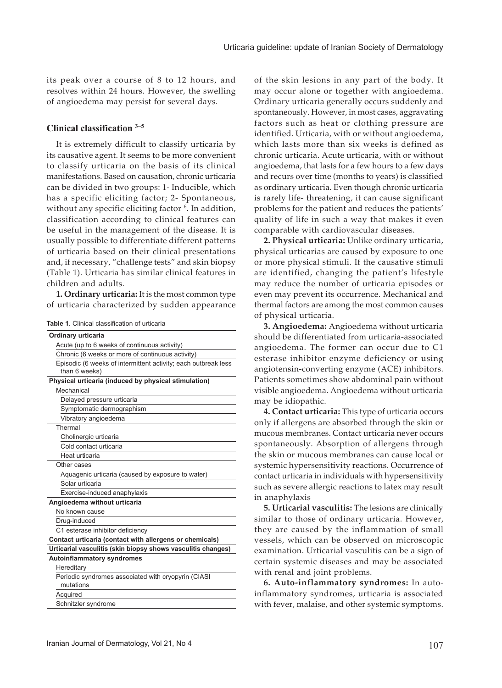its peak over a course of 8 to 12 hours, and resolves within 24 hours. However, the swelling of angioedema may persist for several days.

## **Clinical classification 3–5**

It is extremely difficult to classify urticaria by its causative agent. It seems to be more convenient to classify urticaria on the basis of its clinical manifestations. Based on causation, chronic urticaria can be divided in two groups: 1- Inducible, which has a specific eliciting factor; 2- Spontaneous, without any specific eliciting factor <sup>6</sup>. In addition, classification according to clinical features can be useful in the management of the disease. It is usually possible to differentiate different patterns of urticaria based on their clinical presentations and, if necessary, "challenge tests" and skin biopsy (Table 1). Urticaria has similar clinical features in children and adults.

**1. Ordinary urticaria:** It is the most common type of urticaria characterized by sudden appearance

**Table 1.** Clinical classification of urticaria

| Ordinary urticaria  |                                                                |
|---------------------|----------------------------------------------------------------|
|                     | Acute (up to 6 weeks of continuous activity)                   |
|                     | Chronic (6 weeks or more of continuous activity)               |
| than 6 weeks)       | Episodic (6 weeks of intermittent activity; each outbreak less |
|                     | Physical urticaria (induced by physical stimulation)           |
| Mechanical          |                                                                |
|                     | Delayed pressure urticaria                                     |
|                     | Symptomatic dermographism                                      |
|                     | Vibratory angioedema                                           |
| Thermal             |                                                                |
|                     | Cholinergic urticaria                                          |
|                     | Cold contact urticaria                                         |
| Heat urticaria      |                                                                |
| Other cases         |                                                                |
|                     | Aquagenic urticaria (caused by exposure to water)              |
| Solar urticaria     |                                                                |
|                     | Exercise-induced anaphylaxis                                   |
|                     | Angioedema without urticaria                                   |
| No known cause      |                                                                |
| Drug-induced        |                                                                |
|                     | C1 esterase inhibitor deficiency                               |
|                     | Contact urticaria (contact with allergens or chemicals)        |
|                     | Urticarial vasculitis (skin biopsy shows vasculitis changes)   |
|                     | <b>Autoinflammatory syndromes</b>                              |
| Hereditarv          |                                                                |
| mutations           | Periodic syndromes associated with cryopyrin (CIASI            |
| Acquired            |                                                                |
| Schnitzler syndrome |                                                                |

of the skin lesions in any part of the body. It may occur alone or together with angioedema. Ordinary urticaria generally occurs suddenly and spontaneously. However, in most cases, aggravating factors such as heat or clothing pressure are identified. Urticaria, with or without angioedema, which lasts more than six weeks is defined as chronic urticaria. Acute urticaria, with or without angioedema, that lasts for a few hours to a few days and recurs over time (months to years) is classified as ordinary urticaria. Even though chronic urticaria is rarely life- threatening, it can cause significant problems for the patient and reduces the patients' quality of life in such a way that makes it even comparable with cardiovascular diseases.

**2. Physical urticaria:** Unlike ordinary urticaria, physical urticarias are caused by exposure to one or more physical stimuli. If the causative stimuli are identified, changing the patient's lifestyle may reduce the number of urticaria episodes or even may prevent its occurrence. Mechanical and thermal factors are among the most common causes of physical urticaria.

**3. Angioedema:** Angioedema without urticaria should be differentiated from urticaria-associated angioedema. The former can occur due to C1 esterase inhibitor enzyme deficiency or using angiotensin-converting enzyme (ACE) inhibitors. Patients sometimes show abdominal pain without visible angioedema. Angioedema without urticaria may be idiopathic.

**4. Contact urticaria:** This type of urticaria occurs only if allergens are absorbed through the skin or mucous membranes. Contact urticaria never occurs spontaneously. Absorption of allergens through the skin or mucous membranes can cause local or systemic hypersensitivity reactions. Occurrence of contact urticaria in individuals with hypersensitivity such as severe allergic reactions to latex may result in anaphylaxis

**5. Urticarial vasculitis:** The lesions are clinically similar to those of ordinary urticaria. However, they are caused by the inflammation of small vessels, which can be observed on microscopic examination. Urticarial vasculitis can be a sign of certain systemic diseases and may be associated with renal and joint problems.

**6. Auto-inflammatory syndromes:** In autoinflammatory syndromes, urticaria is associated with fever, malaise, and other systemic symptoms.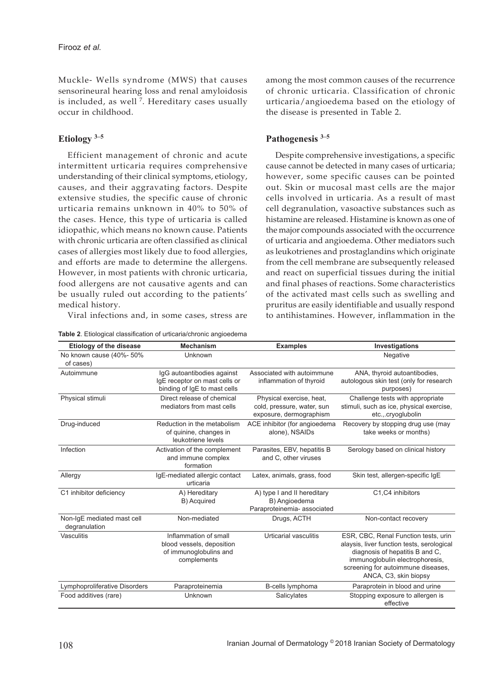Muckle- Wells syndrome (MWS) that causes sensorineural hearing loss and renal amyloidosis is included, as well<sup>7</sup>. Hereditary cases usually occur in childhood.

## **Etiology 3–5**

Efficient management of chronic and acute intermittent urticaria requires comprehensive understanding of their clinical symptoms, etiology, causes, and their aggravating factors. Despite extensive studies, the specific cause of chronic urticaria remains unknown in 40% to 50% of the cases. Hence, this type of urticaria is called idiopathic, which means no known cause. Patients with chronic urticaria are often classified as clinical cases of allergies most likely due to food allergies, and efforts are made to determine the allergens. However, in most patients with chronic urticaria, food allergens are not causative agents and can be usually ruled out according to the patients' medical history.

Viral infections and, in some cases, stress are

|  |  |  |  | Table 2. Etiological classification of urticaria/chronic angioedema |  |
|--|--|--|--|---------------------------------------------------------------------|--|
|--|--|--|--|---------------------------------------------------------------------|--|

among the most common causes of the recurrence of chronic urticaria. Classification of chronic urticaria/angioedema based on the etiology of the disease is presented in Table 2.

## **Pathogenesis 3–5**

Despite comprehensive investigations, a specific cause cannot be detected in many cases of urticaria; however, some specific causes can be pointed out. Skin or mucosal mast cells are the major cells involved in urticaria. As a result of mast cell degranulation, vasoactive substances such as histamine are released. Histamine is known as one of the major compounds associated with the occurrence of urticaria and angioedema. Other mediators such as leukotrienes and prostaglandins which originate from the cell membrane are subsequently released and react on superficial tissues during the initial and final phases of reactions. Some characteristics of the activated mast cells such as swelling and pruritus are easily identifiable and usually respond to antihistamines. However, inflammation in the

| Etiology of the disease                     | <b>Mechanism</b>                                                                            | <b>Examples</b>                                                                   | Investigations                                                                                                                                                                                                          |
|---------------------------------------------|---------------------------------------------------------------------------------------------|-----------------------------------------------------------------------------------|-------------------------------------------------------------------------------------------------------------------------------------------------------------------------------------------------------------------------|
| No known cause (40%- 50%<br>of cases)       | Unknown                                                                                     |                                                                                   | Negative                                                                                                                                                                                                                |
| Autoimmune                                  | IgG autoantibodies against<br>IqE receptor on mast cells or<br>binding of IqE to mast cells | Associated with autoimmune<br>inflammation of thyroid                             | ANA, thyroid autoantibodies,<br>autologous skin test (only for research<br>purposes)                                                                                                                                    |
| Physical stimuli                            | Direct release of chemical<br>mediators from mast cells                                     | Physical exercise, heat,<br>cold, pressure, water, sun<br>exposure, dermographism | Challenge tests with appropriate<br>stimuli, such as ice, physical exercise,<br>etc.,.cryoglubolin                                                                                                                      |
| Drug-induced                                | Reduction in the metabolism<br>of quinine, changes in<br>leukotriene levels                 | ACE inhibitor (for angioedema<br>alone), NSAIDs                                   | Recovery by stopping drug use (may<br>take weeks or months)                                                                                                                                                             |
| Infection                                   | Activation of the complement<br>and immune complex<br>formation                             | Parasites, EBV, hepatitis B<br>and C, other viruses                               | Serology based on clinical history                                                                                                                                                                                      |
| Allergy                                     | IgE-mediated allergic contact<br>urticaria                                                  | Latex, animals, grass, food                                                       | Skin test, allergen-specific IgE                                                                                                                                                                                        |
| C1 inhibitor deficiency                     | A) Hereditary<br>B) Acquired                                                                | A) type I and II hereditary<br>B) Angioedema<br>Paraproteinemia- associated       | C1,C4 inhibitors                                                                                                                                                                                                        |
| Non-IqE mediated mast cell<br>degranulation | Non-mediated                                                                                | Drugs, ACTH                                                                       | Non-contact recovery                                                                                                                                                                                                    |
| Vasculitis                                  | Inflammation of small<br>blood vessels, deposition<br>of immunoglobulins and<br>complements | Urticarial vasculitis                                                             | ESR, CBC, Renal Function tests, urin<br>alaysis, liver function tests, serological<br>diagnosis of hepatitis B and C,<br>immunoglobulin electrophoresis,<br>screening for autoimmune diseases,<br>ANCA, C3, skin biopsy |
| Lymphoproliferative Disorders               | Paraproteinemia                                                                             | B-cells lymphoma                                                                  | Paraprotein in blood and urine                                                                                                                                                                                          |
| Food additives (rare)                       | Unknown                                                                                     | Salicylates                                                                       | Stopping exposure to allergen is<br>effective                                                                                                                                                                           |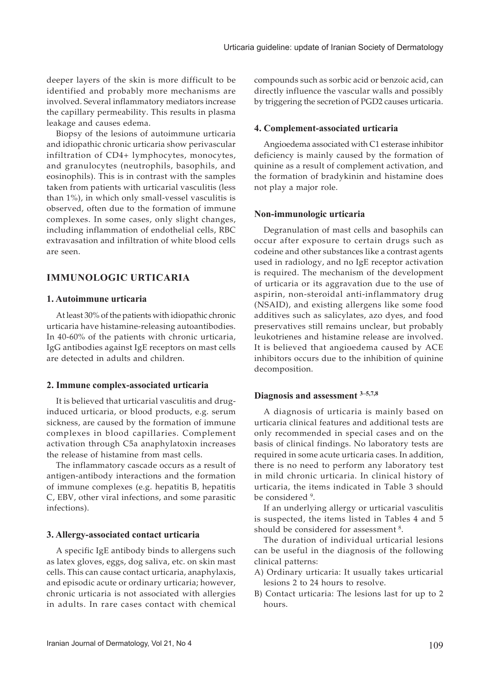deeper layers of the skin is more difficult to be identified and probably more mechanisms are involved. Several inflammatory mediators increase the capillary permeability. This results in plasma leakage and causes edema.

Biopsy of the lesions of autoimmune urticaria and idiopathic chronic urticaria show perivascular infiltration of CD4+ lymphocytes, monocytes, and granulocytes (neutrophils, basophils, and eosinophils). This is in contrast with the samples taken from patients with urticarial vasculitis (less than 1%), in which only small-vessel vasculitis is observed, often due to the formation of immune complexes. In some cases, only slight changes, including inflammation of endothelial cells, RBC extravasation and infiltration of white blood cells are seen.

# **IMMUNOLOGIC URTICARIA**

## **1. Autoimmune urticaria**

At least 30% of the patients with idiopathic chronic urticaria have histamine-releasing autoantibodies. In 40-60% of the patients with chronic urticaria, IgG antibodies against IgE receptors on mast cells are detected in adults and children.

## **2. Immune complex-associated urticaria**

It is believed that urticarial vasculitis and druginduced urticaria, or blood products, e.g. serum sickness, are caused by the formation of immune complexes in blood capillaries. Complement activation through C5a anaphylatoxin increases the release of histamine from mast cells.

The inflammatory cascade occurs as a result of antigen-antibody interactions and the formation of immune complexes (e.g. hepatitis B, hepatitis C, EBV, other viral infections, and some parasitic infections).

## **3. Allergy-associated contact urticaria**

A specific IgE antibody binds to allergens such as latex gloves, eggs, dog saliva, etc. on skin mast cells. This can cause contact urticaria, anaphylaxis, and episodic acute or ordinary urticaria; however, chronic urticaria is not associated with allergies in adults. In rare cases contact with chemical

compounds such as sorbic acid or benzoic acid, can directly influence the vascular walls and possibly by triggering the secretion of PGD2 causes urticaria.

## **4. Complement-associated urticaria**

Angioedema associated with C1 esterase inhibitor deficiency is mainly caused by the formation of quinine as a result of complement activation, and the formation of bradykinin and histamine does not play a major role.

## **Non-immunologic urticaria**

Degranulation of mast cells and basophils can occur after exposure to certain drugs such as codeine and other substances like a contrast agents used in radiology, and no IgE receptor activation is required. The mechanism of the development of urticaria or its aggravation due to the use of aspirin, non-steroidal anti-inflammatory drug (NSAID), and existing allergens like some food additives such as salicylates, azo dyes, and food preservatives still remains unclear, but probably leukotrienes and histamine release are involved. It is believed that angioedema caused by ACE inhibitors occurs due to the inhibition of quinine decomposition.

# **Diagnosis and assessment 3–5,7,8**

A diagnosis of urticaria is mainly based on urticaria clinical features and additional tests are only recommended in special cases and on the basis of clinical findings. No laboratory tests are required in some acute urticaria cases. In addition, there is no need to perform any laboratory test in mild chronic urticaria. In clinical history of urticaria, the items indicated in Table 3 should be considered <sup>9</sup>.

If an underlying allergy or urticarial vasculitis is suspected, the items listed in Tables 4 and 5 should be considered for assessment<sup>8</sup>.

The duration of individual urticarial lesions can be useful in the diagnosis of the following clinical patterns:

- A) Ordinary urticaria: It usually takes urticarial lesions 2 to 24 hours to resolve.
- B) Contact urticaria: The lesions last for up to 2 hours.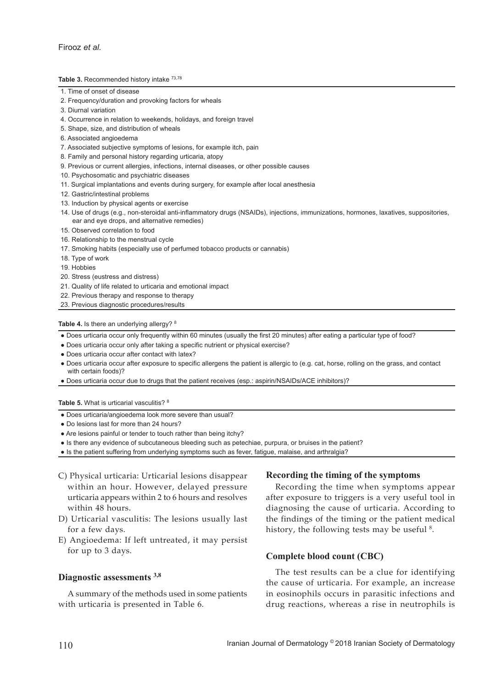#### Table 3. Recommended history intake <sup>73,78</sup>

- 1. Time of onset of disease
- 2. Frequency/duration and provoking factors for wheals
- 3. Diurnal variation
- 4. Occurrence in relation to weekends, holidays, and foreign travel
- 5. Shape, size, and distribution of wheals
- 6. Associated angioedema
- 7. Associated subjective symptoms of lesions, for example itch, pain
- 8. Family and personal history regarding urticaria, atopy
- 9. Previous or current allergies, infections, internal diseases, or other possible causes
- 10. Psychosomatic and psychiatric diseases
- 11. Surgical implantations and events during surgery, for example after local anesthesia
- 12. Gastric/intestinal problems
- 13. Induction by physical agents or exercise
- 14. Use of drugs (e.g., non-steroidal anti-inflammatory drugs (NSAIDs), injections, immunizations, hormones, laxatives, suppositories, ear and eye drops, and alternative remedies)
- 15. Observed correlation to food
- 16. Relationship to the menstrual cycle
- 17. Smoking habits (especially use of perfumed tobacco products or cannabis)
- 18. Type of work
- 19. Hobbies
- 20. Stress (eustress and distress)
- 21. Quality of life related to urticaria and emotional impact
- 22. Previous therapy and response to therapy
- 23. Previous diagnostic procedures/results

Table 4. Is there an underlying allergy? 8

- Does urticaria occur only frequently within 60 minutes (usually the first 20 minutes) after eating a particular type of food?
- Does urticaria occur only after taking a specific nutrient or physical exercise?
- Does urticaria occur after contact with latex?
- Does urticaria occur after exposure to specific allergens the patient is allergic to (e.g. cat, horse, rolling on the grass, and contact with certain foods)?
- Does urticaria occur due to drugs that the patient receives (esp.: aspirin/NSAIDs/ACE inhibitors)?

Table 5. What is urticarial vasculitis? 8

- Does urticaria/angioedema look more severe than usual?
- Do lesions last for more than 24 hours?
- Are lesions painful or tender to touch rather than being itchy?
- Is there any evidence of subcutaneous bleeding such as petechiae, purpura, or bruises in the patient?
- Is the patient suffering from underlying symptoms such as fever, fatigue, malaise, and arthralgia?
- C) Physical urticaria: Urticarial lesions disappear within an hour. However, delayed pressure urticaria appears within 2 to 6 hours and resolves within 48 hours.
- D) Urticarial vasculitis: The lesions usually last for a few days.
- E) Angioedema: If left untreated, it may persist for up to 3 days.

#### **Diagnostic assessments 3,8**

A summary of the methods used in some patients with urticaria is presented in Table 6.

#### **Recording the timing of the symptoms**

Recording the time when symptoms appear after exposure to triggers is a very useful tool in diagnosing the cause of urticaria. According to the findings of the timing or the patient medical history, the following tests may be useful <sup>8</sup>.

## **Complete blood count (CBC)**

The test results can be a clue for identifying the cause of urticaria. For example, an increase in eosinophils occurs in parasitic infections and drug reactions, whereas a rise in neutrophils is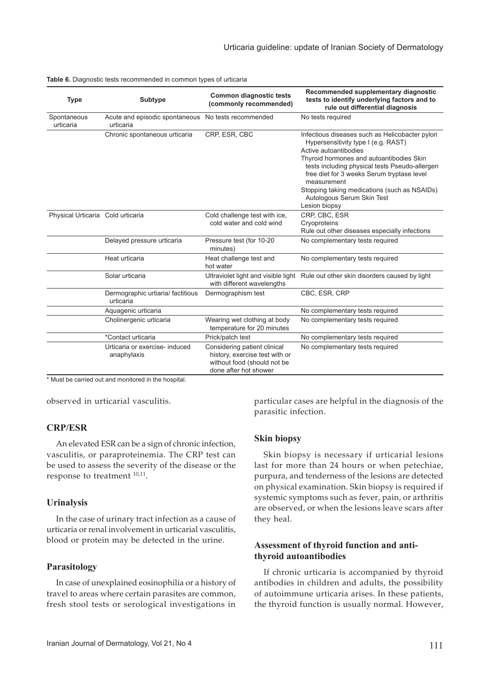| <b>Type</b>                       | Subtype                                        | <b>Common diagnostic tests</b><br>(commonly recommended)                                                               | Recommended supplementary diagnostic<br>tests to identify underlying factors and to<br>rule out differential diagnosis                                                                                                                                                                                                                                                    |
|-----------------------------------|------------------------------------------------|------------------------------------------------------------------------------------------------------------------------|---------------------------------------------------------------------------------------------------------------------------------------------------------------------------------------------------------------------------------------------------------------------------------------------------------------------------------------------------------------------------|
| Spontaneous<br>urticaria          | Acute and episodic spontaneous<br>urticaria    | No tests recommended                                                                                                   | No tests required                                                                                                                                                                                                                                                                                                                                                         |
|                                   | Chronic spontaneous urticaria                  | CRP. ESR. CBC                                                                                                          | Infectious diseases such as Helicobacter pylori<br>Hypersensitivity type I (e.g. RAST)<br>Active autoantibodies<br>Thyroid hormones and autoantibodies Skin<br>tests including physical tests Pseudo-allergen<br>free diet for 3 weeks Serum tryptase level<br>measurement<br>Stopping taking medications (such as NSAIDs)<br>Autologous Serum Skin Test<br>Lesion biopsy |
| Physical Urticaria Cold urticaria |                                                | Cold challenge test with ice,<br>cold water and cold wind                                                              | CRP, CBC, ESR<br>Cryoproteins<br>Rule out other diseases especially infections                                                                                                                                                                                                                                                                                            |
|                                   | Delayed pressure urticaria                     | Pressure test (for 10-20<br>minutes)                                                                                   | No complementary tests required                                                                                                                                                                                                                                                                                                                                           |
|                                   | Heat urticaria                                 | Heat challenge test and<br>hot water                                                                                   | No complementary tests required                                                                                                                                                                                                                                                                                                                                           |
|                                   | Solar urticaria                                | Ultraviolet light and visible light<br>with different wavelengths                                                      | Rule out other skin disorders caused by light                                                                                                                                                                                                                                                                                                                             |
|                                   | Dermographic urtiaria/ factitious<br>urticaria | Dermographism test                                                                                                     | CBC, ESR, CRP                                                                                                                                                                                                                                                                                                                                                             |
|                                   | Aquagenic urticaria                            |                                                                                                                        | No complementary tests required                                                                                                                                                                                                                                                                                                                                           |
|                                   | Cholinergenic urticaria                        | Wearing wet clothing at body<br>temperature for 20 minutes                                                             | No complementary tests required                                                                                                                                                                                                                                                                                                                                           |
|                                   | *Contact urticaria                             | Prick/patch test                                                                                                       | No complementary tests required                                                                                                                                                                                                                                                                                                                                           |
|                                   | Urticaria or exercise- induced<br>anaphylaxis  | Considering patient clinical<br>history, exercise test with or<br>without food (should not be<br>done after hot shower | No complementary tests required                                                                                                                                                                                                                                                                                                                                           |

|  |  |  |  | Table 6. Diagnostic tests recommended in common types of urticaria |
|--|--|--|--|--------------------------------------------------------------------|
|--|--|--|--|--------------------------------------------------------------------|

\* Must be carried out and monitored in the hospital.

observed in urticarial vasculitis.

### **CRP/ESR**

An elevated ESR can be a sign of chronic infection, vasculitis, or paraproteinemia. The CRP test can be used to assess the severity of the disease or the response to treatment  $10,11$ .

#### **Urinalysis**

In the case of urinary tract infection as a cause of urticaria or renal involvement in urticarial vasculitis, blood or protein may be detected in the urine.

#### **Parasitology**

In case of unexplained eosinophilia or a history of travel to areas where certain parasites are common, fresh stool tests or serological investigations in

particular cases are helpful in the diagnosis of the parasitic infection.

#### **Skin biopsy**

Skin biopsy is necessary if urticarial lesions last for more than 24 hours or when petechiae, purpura, and tenderness of the lesions are detected on physical examination. Skin biopsy is required if systemic symptoms such as fever, pain, or arthritis are observed, or when the lesions leave scars after they heal.

#### **Assessment of thyroid function and antithyroid autoantibodies**

If chronic urticaria is accompanied by thyroid antibodies in children and adults, the possibility of autoimmune urticaria arises. In these patients, the thyroid function is usually normal. However,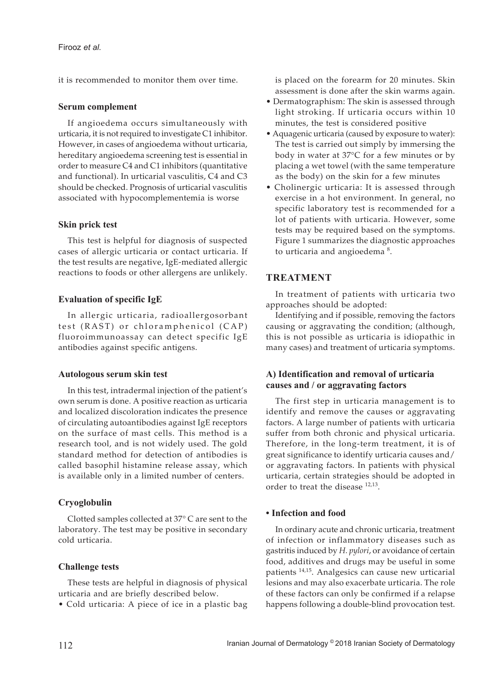it is recommended to monitor them over time.

#### **Serum complement**

If angioedema occurs simultaneously with urticaria, it is not required to investigate C1 inhibitor. However, in cases of angioedema without urticaria, hereditary angioedema screening test is essential in order to measure C4 and C1 inhibitors (quantitative and functional). In urticarial vasculitis, C4 and C3 should be checked. Prognosis of urticarial vasculitis associated with hypocomplementemia is worse

#### **Skin prick test**

This test is helpful for diagnosis of suspected cases of allergic urticaria or contact urticaria. If the test results are negative, IgE-mediated allergic reactions to foods or other allergens are unlikely.

#### **Evaluation of specific IgE**

In allergic urticaria, radioallergosorbant test (RAST) or chloramphenicol (CAP) fluoroimmunoassay can detect specific IgE antibodies against specific antigens.

#### **Autologous serum skin test**

In this test, intradermal injection of the patient's own serum is done. A positive reaction as urticaria and localized discoloration indicates the presence of circulating autoantibodies against IgE receptors on the surface of mast cells. This method is a research tool, and is not widely used. The gold standard method for detection of antibodies is called basophil histamine release assay, which is available only in a limited number of centers.

#### **Cryoglobulin**

Clotted samples collected at 37° C are sent to the laboratory. The test may be positive in secondary cold urticaria.

#### **Challenge tests**

These tests are helpful in diagnosis of physical urticaria and are briefly described below.

• Cold urticaria: A piece of ice in a plastic bag

is placed on the forearm for 20 minutes. Skin assessment is done after the skin warms again.

- Dermatographism: The skin is assessed through light stroking. If urticaria occurs within 10 minutes, the test is considered positive
- Aquagenic urticaria (caused by exposure to water): The test is carried out simply by immersing the body in water at 37°C for a few minutes or by placing a wet towel (with the same temperature as the body) on the skin for a few minutes
- Cholinergic urticaria: It is assessed through exercise in a hot environment. In general, no specific laboratory test is recommended for a lot of patients with urticaria. However, some tests may be required based on the symptoms. Figure 1 summarizes the diagnostic approaches to urticaria and angioedema<sup>8</sup>.

#### **TREATMENT**

In treatment of patients with urticaria two approaches should be adopted:

Identifying and if possible, removing the factors causing or aggravating the condition; (although, this is not possible as urticaria is idiopathic in many cases) and treatment of urticaria symptoms.

## **A) Identification and removal of urticaria causes and / or aggravating factors**

The first step in urticaria management is to identify and remove the causes or aggravating factors. A large number of patients with urticaria suffer from both chronic and physical urticaria. Therefore, in the long-term treatment, it is of great significance to identify urticaria causes and/ or aggravating factors. In patients with physical urticaria, certain strategies should be adopted in order to treat the disease <sup>12,13</sup>.

#### **• Infection and food**

In ordinary acute and chronic urticaria, treatment of infection or inflammatory diseases such as gastritis induced by *H. pylori*, or avoidance of certain food, additives and drugs may be useful in some patients 14,15. Analgesics can cause new urticarial lesions and may also exacerbate urticaria. The role of these factors can only be confirmed if a relapse happens following a double-blind provocation test.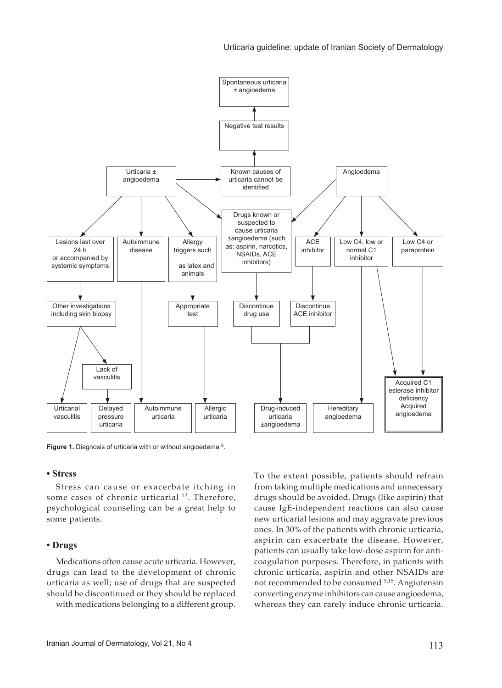

**Figure 1.** Diagnosis of urticaria with or without angioedema 8.

#### **• Stress**

Stress can cause or exacerbate itching in some cases of chronic urticarial <sup>13</sup>. Therefore, psychological counseling can be a great help to some patients.

#### **• Drugs**

Medications often cause acute urticaria. However, drugs can lead to the development of chronic urticaria as well; use of drugs that are suspected should be discontinued or they should be replaced

with medications belonging to a different group.

To the extent possible, patients should refrain from taking multiple medications and unnecessary drugs should be avoided. Drugs (like aspirin) that cause IgE-independent reactions can also cause new urticarial lesions and may aggravate previous ones. In 30% of the patients with chronic urticaria, aspirin can exacerbate the disease. However, patients can usually take low-dose aspirin for anticoagulation purposes. Therefore, in patients with chronic urticaria, aspirin and other NSAIDs are not recommended to be consumed <sup>5,15</sup>. Angiotensin converting enzyme inhibitors can cause angioedema, whereas they can rarely induce chronic urticaria.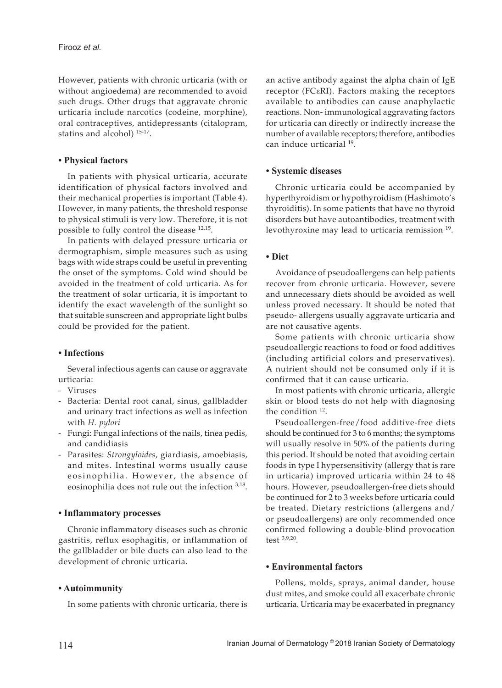However, patients with chronic urticaria (with or without angioedema) are recommended to avoid such drugs. Other drugs that aggravate chronic urticaria include narcotics (codeine, morphine), oral contraceptives, antidepressants (citalopram, statins and alcohol) 15-17.

## **• Physical factors**

In patients with physical urticaria, accurate identification of physical factors involved and their mechanical properties is important (Table 4). However, in many patients, the threshold response to physical stimuli is very low. Therefore, it is not possible to fully control the disease 12,15.

In patients with delayed pressure urticaria or dermographism, simple measures such as using bags with wide straps could be useful in preventing the onset of the symptoms. Cold wind should be avoided in the treatment of cold urticaria. As for the treatment of solar urticaria, it is important to identify the exact wavelength of the sunlight so that suitable sunscreen and appropriate light bulbs could be provided for the patient.

## **• Infections**

Several infectious agents can cause or aggravate urticaria:

- Viruses
- Bacteria: Dental root canal, sinus, gallbladder and urinary tract infections as well as infection with *H. pylori*
- Fungi: Fungal infections of the nails, tinea pedis, and candidiasis
- Parasites: *Strongyloides*, giardiasis, amoebiasis, and mites. Intestinal worms usually cause eosinophilia. However, the absence of eosinophilia does not rule out the infection 3,18.

## **• Inflammatory processes**

Chronic inflammatory diseases such as chronic gastritis, reflux esophagitis, or inflammation of the gallbladder or bile ducts can also lead to the development of chronic urticaria.

## **• Autoimmunity**

In some patients with chronic urticaria, there is

an active antibody against the alpha chain of IgE receptor (FCεRI). Factors making the receptors available to antibodies can cause anaphylactic reactions. Non- immunological aggravating factors for urticaria can directly or indirectly increase the number of available receptors; therefore, antibodies can induce urticarial <sup>19</sup>.

## **• Systemic diseases**

Chronic urticaria could be accompanied by hyperthyroidism or hypothyroidism (Hashimoto's thyroiditis). In some patients that have no thyroid disorders but have autoantibodies, treatment with levothyroxine may lead to urticaria remission 19.

## **• Diet**

Avoidance of pseudoallergens can help patients recover from chronic urticaria. However, severe and unnecessary diets should be avoided as well unless proved necessary. It should be noted that pseudo- allergens usually aggravate urticaria and are not causative agents.

Some patients with chronic urticaria show pseudoallergic reactions to food or food additives (including artificial colors and preservatives). A nutrient should not be consumed only if it is confirmed that it can cause urticaria.

In most patients with chronic urticaria, allergic skin or blood tests do not help with diagnosing the condition<sup>12</sup>.

Pseudoallergen-free/food additive-free diets should be continued for 3 to 6 months; the symptoms will usually resolve in 50% of the patients during this period. It should be noted that avoiding certain foods in type I hypersensitivity (allergy that is rare in urticaria) improved urticaria within 24 to 48 hours. However, pseudoallergen-free diets should be continued for 2 to 3 weeks before urticaria could be treated. Dietary restrictions (allergens and/ or pseudoallergens) are only recommended once confirmed following a double-blind provocation test 3,9,20.

## **• Environmental factors**

Pollens, molds, sprays, animal dander, house dust mites, and smoke could all exacerbate chronic urticaria. Urticaria may be exacerbated in pregnancy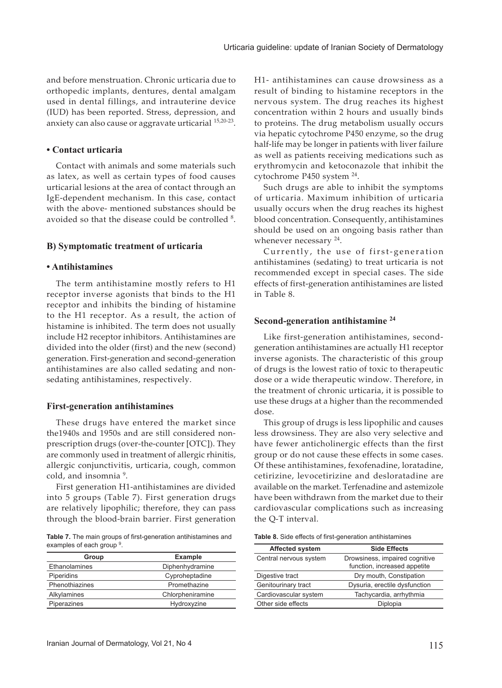and before menstruation. Chronic urticaria due to orthopedic implants, dentures, dental amalgam used in dental fillings, and intrauterine device (IUD) has been reported. Stress, depression, and anxiety can also cause or aggravate urticarial <sup>15,20-23</sup>.

## **• Contact urticaria**

Contact with animals and some materials such as latex, as well as certain types of food causes urticarial lesions at the area of contact through an IgE-dependent mechanism. In this case, contact with the above- mentioned substances should be avoided so that the disease could be controlled  $^8$ .

#### **B) Symptomatic treatment of urticaria**

#### **• Antihistamines**

The term antihistamine mostly refers to H1 receptor inverse agonists that binds to the H1 receptor and inhibits the binding of histamine to the H1 receptor. As a result, the action of histamine is inhibited. The term does not usually include H2 receptor inhibitors. Antihistamines are divided into the older (first) and the new (second) generation. First-generation and second-generation antihistamines are also called sedating and nonsedating antihistamines, respectively.

#### **First-generation antihistamines**

These drugs have entered the market since the1940s and 1950s and are still considered nonprescription drugs (over-the-counter [OTC]). They are commonly used in treatment of allergic rhinitis, allergic conjunctivitis, urticaria, cough, common cold, and insomnia <sup>9</sup>.

First generation H1-antihistamines are divided into 5 groups (Table 7). First generation drugs are relatively lipophilic; therefore, they can pass through the blood-brain barrier. First generation

**Table 7.** The main groups of first-generation antihistamines and examples of each group<sup>9</sup>.

| Group          | <b>Example</b>   |
|----------------|------------------|
| Ethanolamines  | Diphenhydramine  |
| Piperidins     | Cyproheptadine   |
| Phenothiazines | Promethazine     |
| Alkylamines    | Chlorpheniramine |
| Piperazines    | Hydroxyzine      |

H1- antihistamines can cause drowsiness as a result of binding to histamine receptors in the nervous system. The drug reaches its highest concentration within 2 hours and usually binds to proteins. The drug metabolism usually occurs via hepatic cytochrome P450 enzyme, so the drug half-life may be longer in patients with liver failure as well as patients receiving medications such as erythromycin and ketoconazole that inhibit the cytochrome P450 system 24.

Such drugs are able to inhibit the symptoms of urticaria. Maximum inhibition of urticaria usually occurs when the drug reaches its highest blood concentration. Consequently, antihistamines should be used on an ongoing basis rather than whenever necessary <sup>24</sup>.

Currently, the use of first-generation antihistamines (sedating) to treat urticaria is not recommended except in special cases. The side effects of first-generation antihistamines are listed in Table 8.

#### **Second-generation antihistamine 24**

Like first-generation antihistamines, secondgeneration antihistamines are actually H1 receptor inverse agonists. The characteristic of this group of drugs is the lowest ratio of toxic to therapeutic dose or a wide therapeutic window. Therefore, in the treatment of chronic urticaria, it is possible to use these drugs at a higher than the recommended dose.

This group of drugs is less lipophilic and causes less drowsiness. They are also very selective and have fewer anticholinergic effects than the first group or do not cause these effects in some cases. Of these antihistamines, fexofenadine, loratadine, cetirizine, levocetirizine and desloratadine are available on the market. Terfenadine and astemizole have been withdrawn from the market due to their cardiovascular complications such as increasing the Q-T interval.

| Table 8. Side effects of first-generation antihistamines |  |
|----------------------------------------------------------|--|
|----------------------------------------------------------|--|

| <b>Affected system</b> | <b>Side Effects</b>                                            |
|------------------------|----------------------------------------------------------------|
| Central nervous system | Drowsiness, impaired cognitive<br>function, increased appetite |
| Digestive tract        | Dry mouth, Constipation                                        |
| Genitourinary tract    | Dysuria, erectile dysfunction                                  |
| Cardiovascular system  | Tachycardia, arrhythmia                                        |
| Other side effects     | Diplopia                                                       |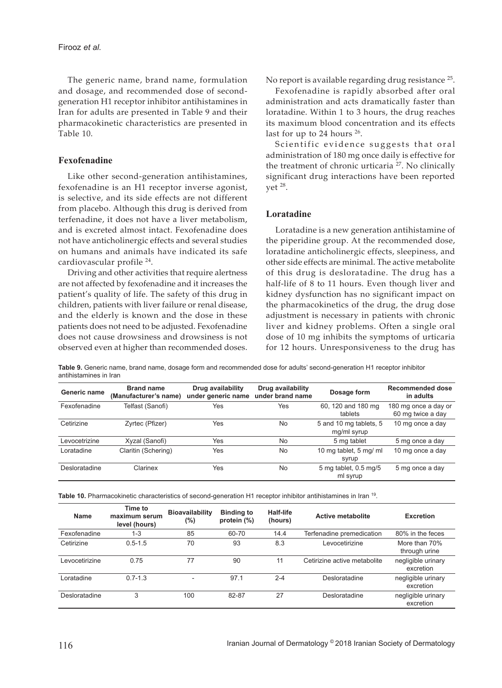The generic name, brand name, formulation and dosage, and recommended dose of secondgeneration H1 receptor inhibitor antihistamines in Iran for adults are presented in Table 9 and their pharmacokinetic characteristics are presented in Table 10.

## **Fexofenadine**

Like other second-generation antihistamines, fexofenadine is an H1 receptor inverse agonist, is selective, and its side effects are not different from placebo. Although this drug is derived from terfenadine, it does not have a liver metabolism, and is excreted almost intact. Fexofenadine does not have anticholinergic effects and several studies on humans and animals have indicated its safe cardiovascular profile 24.

Driving and other activities that require alertness are not affected by fexofenadine and it increases the patient's quality of life. The safety of this drug in children, patients with liver failure or renal disease, and the elderly is known and the dose in these patients does not need to be adjusted. Fexofenadine does not cause drowsiness and drowsiness is not observed even at higher than recommended doses.

No report is available regarding drug resistance <sup>25</sup>.

Fexofenadine is rapidly absorbed after oral administration and acts dramatically faster than loratadine. Within 1 to 3 hours, the drug reaches its maximum blood concentration and its effects last for up to 24 hours <sup>26</sup>.

Scientific evidence suggests that oral administration of 180 mg once daily is effective for the treatment of chronic urticaria<sup>27</sup>. No clinically significant drug interactions have been reported  $y$ et  $^{28}$ .

## **Loratadine**

Loratadine is a new generation antihistamine of the piperidine group. At the recommended dose, loratadine anticholinergic effects, sleepiness, and other side effects are minimal. The active metabolite of this drug is desloratadine. The drug has a half-life of 8 to 11 hours. Even though liver and kidney dysfunction has no significant impact on the pharmacokinetics of the drug, the drug dose adjustment is necessary in patients with chronic liver and kidney problems. Often a single oral dose of 10 mg inhibits the symptoms of urticaria for 12 hours. Unresponsiveness to the drug has

**Table 9.** Generic name, brand name, dosage form and recommended dose for adults' second-generation H1 receptor inhibitor antihistamines in Iran

| Generic name  | <b>Brand name</b><br>(Manufacturer's name) | Drug availability<br>under generic name | Drug availability<br>under brand name | Dosage form                           | <b>Recommended dose</b><br>in adults      |
|---------------|--------------------------------------------|-----------------------------------------|---------------------------------------|---------------------------------------|-------------------------------------------|
| Fexofenadine  | Telfast (Sanofi)                           | Yes                                     | Yes                                   | 60, 120 and 180 mg<br>tablets         | 180 mg once a day or<br>60 mg twice a day |
| Cetirizine    | Zyrtec (Pfizer)                            | Yes                                     | No                                    | 5 and 10 mg tablets, 5<br>mg/ml syrup | 10 mg once a day                          |
| Levocetrizine | Xyzal (Sanofi)                             | Yes                                     | No                                    | 5 mg tablet                           | 5 mg once a day                           |
| Loratadine    | Claritin (Schering)                        | Yes                                     | No                                    | 10 mg tablet, 5 mg/ ml<br>syrup       | 10 mg once a day                          |
| Desloratadine | Clarinex                                   | Yes                                     | No                                    | 5 mg tablet, 0.5 mg/5<br>ml syrup     | 5 mg once a day                           |

**Table 10.** Pharmacokinetic characteristics of second-generation H1 receptor inhibitor antihistamines in Iran 19.

| <b>Name</b>   | Time to<br>maximum serum<br>level (hours) | <b>Bioavailability</b><br>$(\%)$ | <b>Binding to</b><br>protein $(\%)$ | Half-life<br>(hours) | Active metabolite            | <b>Excretion</b>                |
|---------------|-------------------------------------------|----------------------------------|-------------------------------------|----------------------|------------------------------|---------------------------------|
| Fexofenadine  | $1 - 3$                                   | 85                               | 60-70                               | 14.4                 | Terfenadine premedication    | 80% in the feces                |
| Cetirizine    | $0.5 - 1.5$                               | 70                               | 93                                  | 8.3                  | I evocetirizine              | More than 70%<br>through urine  |
| evocetirizine | 0.75                                      | 77                               | 90                                  | 11                   | Cetirizine active metabolite | negligible urinary<br>excretion |
| Loratadine    | $0.7 - 1.3$                               | $\overline{\phantom{0}}$         | 97.1                                | $2 - 4$              | Desloratadine                | negligible urinary<br>excretion |
| Desloratadine | 3                                         | 100                              | 82-87                               | 27                   | Desloratadine                | negligible urinary<br>excretion |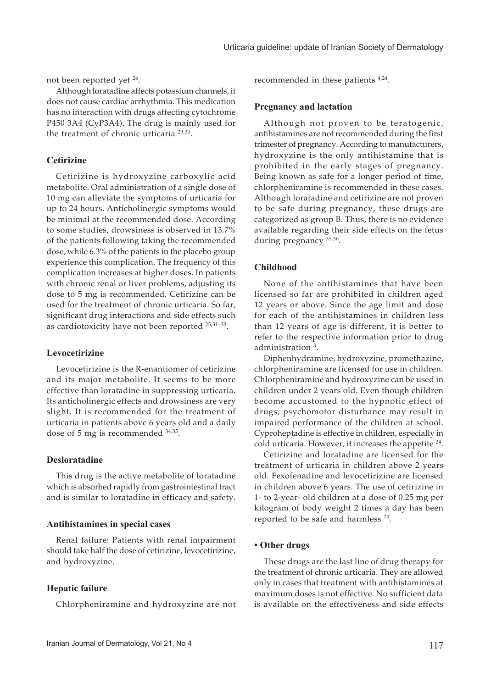not been reported yet <sup>24</sup>.

Although loratadine affects potassium channels, it does not cause cardiac arrhythmia. This medication has no interaction with drugs affecting cytochrome P450 3A4 (CyP3A4). The drug is mainly used for the treatment of chronic urticaria<sup>29,30</sup>.

## **Cetirizine**

Cetirizine is hydroxyzine carboxylic acid metabolite. Oral administration of a single dose of 10 mg can alleviate the symptoms of urticaria for up to 24 hours. Anticholinergic symptoms would be minimal at the recommended dose. According to some studies, drowsiness is observed in 13.7% of the patients following taking the recommended dose, while 6.3% of the patients in the placebo group experience this complication. The frequency of this complication increases at higher doses. In patients with chronic renal or liver problems, adjusting its dose to 5 mg is recommended. Cetirizine can be used for the treatment of chronic urticaria. So far, significant drug interactions and side effects such as cardiotoxicity have not been reported  $25,31-33$ .

## **Levocetirizine**

Levocetirizine is the R-enantiomer of cetirizine and its major metabolite. It seems to be more effective than loratadine in suppressing urticaria. Its anticholinergic effects and drowsiness are very slight. It is recommended for the treatment of urticaria in patients above 6 years old and a daily dose of 5 mg is recommended  $34,35$ .

## **Desloratadine**

This drug is the active metabolite of loratadine which is absorbed rapidly from gastrointestinal tract and is similar to loratadine in efficacy and safety.

#### **Antihistamines in special cases**

Renal failure: Patients with renal impairment should take half the dose of cetirizine, levocetirizine, and hydroxyzine.

#### **Hepatic failure**

Chlorpheniramine and hydroxyzine are not

recommended in these patients  $4,24$ .

#### **Pregnancy and lactation**

Although not proven to be teratogenic, antihistamines are not recommended during the first trimester of pregnancy. According to manufacturers, hydroxyzine is the only antihistamine that is prohibited in the early stages of pregnancy. Being known as safe for a longer period of time, chlorpheniramine is recommended in these cases. Although loratadine and cetirizine are not proven to be safe during pregnancy, these drugs are categorized as group B. Thus, there is no evidence available regarding their side effects on the fetus during pregnancy 35,36.

### **Childhood**

None of the antihistamines that have been licensed so far are prohibited in children aged 12 years or above. Since the age limit and dose for each of the antihistamines in children less than 12 years of age is different, it is better to refer to the respective information prior to drug administration<sup>3</sup>.

Diphenhydramine, hydroxyzine, promethazine, chlorpheniramine are licensed for use in children. Chlorpheniramine and hydroxyzine can be used in children under 2 years old. Even though children become accustomed to the hypnotic effect of drugs, psychomotor disturbance may result in impaired performance of the children at school. Cyproheptadine is effective in children, especially in cold urticaria. However, it increases the appetite <sup>24</sup>.

Cetirizine and loratadine are licensed for the treatment of urticaria in children above 2 years old. Fexofenadine and levocetirizine are licensed in children above 6 years. The use of cetirizine in 1- to 2-year- old children at a dose of 0.25 mg per kilogram of body weight 2 times a day has been reported to be safe and harmless 24.

#### **• Other drugs**

These drugs are the last line of drug therapy for the treatment of chronic urticaria. They are allowed only in cases that treatment with antihistamines at maximum doses is not effective. No sufficient data is available on the effectiveness and side effects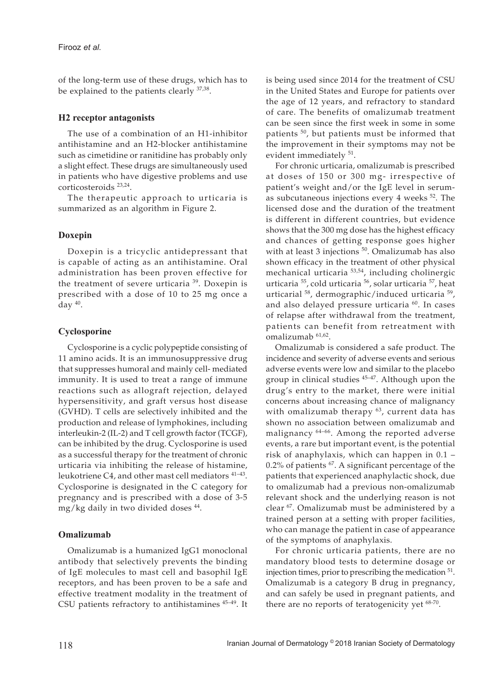of the long-term use of these drugs, which has to be explained to the patients clearly  $37,38$ .

## **H2 receptor antagonists**

The use of a combination of an H1-inhibitor antihistamine and an H2-blocker antihistamine such as cimetidine or ranitidine has probably only a slight effect. These drugs are simultaneously used in patients who have digestive problems and use corticosteroids 23,24.

The therapeutic approach to urticaria is summarized as an algorithm in Figure 2.

## **Doxepin**

Doxepin is a tricyclic antidepressant that is capable of acting as an antihistamine. Oral administration has been proven effective for the treatment of severe urticaria<sup>39</sup>. Doxepin is prescribed with a dose of 10 to 25 mg once a day  $40$ .

## **Cyclosporine**

Cyclosporine is a cyclic polypeptide consisting of 11 amino acids. It is an immunosuppressive drug that suppresses humoral and mainly cell- mediated immunity. It is used to treat a range of immune reactions such as allograft rejection, delayed hypersensitivity, and graft versus host disease (GVHD). T cells are selectively inhibited and the production and release of lymphokines, including interleukin-2 (IL-2) and T cell growth factor (TCGF), can be inhibited by the drug. Cyclosporine is used as a successful therapy for the treatment of chronic urticaria via inhibiting the release of histamine, leukotriene C4, and other mast cell mediators <sup>41-43</sup>. Cyclosporine is designated in the C category for pregnancy and is prescribed with a dose of 3-5 mg/kg daily in two divided doses 44.

## **Omalizumab**

Omalizumab is a humanized IgG1 monoclonal antibody that selectively prevents the binding of IgE molecules to mast cell and basophil IgE receptors, and has been proven to be a safe and effective treatment modality in the treatment of CSU patients refractory to antihistamines 45–49. It is being used since 2014 for the treatment of CSU in the United States and Europe for patients over the age of 12 years, and refractory to standard of care. The benefits of omalizumab treatment can be seen since the first week in some in some patients 50, but patients must be informed that the improvement in their symptoms may not be evident immediately <sup>51</sup>.

For chronic urticaria, omalizumab is prescribed at doses of 150 or 300 mg- irrespective of patient's weight and/or the IgE level in serumas subcutaneous injections every 4 weeks 52. The licensed dose and the duration of the treatment is different in different countries, but evidence shows that the 300 mg dose has the highest efficacy and chances of getting response goes higher with at least 3 injections <sup>50</sup>. Omalizumab has also shown efficacy in the treatment of other physical mechanical urticaria 53,54, including cholinergic urticaria 55, cold urticaria 56, solar urticaria 57, heat urticarial<sup>58</sup>, dermographic/induced urticaria<sup>59</sup>, and also delayed pressure urticaria<sup>60</sup>. In cases of relapse after withdrawal from the treatment, patients can benefit from retreatment with omalizumab 61,62.

Omalizumab is considered a safe product. The incidence and severity of adverse events and serious adverse events were low and similar to the placebo group in clinical studies 45–47. Although upon the drug's entry to the market, there were initial concerns about increasing chance of malignancy with omalizumab therapy  $^{63}$ , current data has shown no association between omalizumab and malignancy  $64-66$ . Among the reported adverse events, a rare but important event, is the potential risk of anaphylaxis, which can happen in 0.1 – 0.2% of patients <sup>67</sup>. A significant percentage of the patients that experienced anaphylactic shock, due to omalizumab had a previous non-omalizumab relevant shock and the underlying reason is not clear <sup>67</sup>. Omalizumab must be administered by a trained person at a setting with proper facilities, who can manage the patient in case of appearance of the symptoms of anaphylaxis.

For chronic urticaria patients, there are no mandatory blood tests to determine dosage or injection times, prior to prescribing the medication <sup>51</sup>. Omalizumab is a category B drug in pregnancy, and can safely be used in pregnant patients, and there are no reports of teratogenicity yet <sup>68-70</sup>.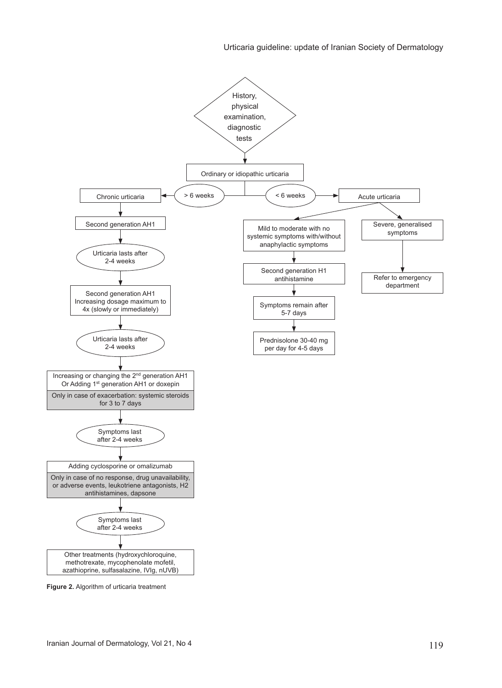Urticaria guideline: update of Iranian Society of Dermatology



**Figure 2.** Algorithm of urticaria treatment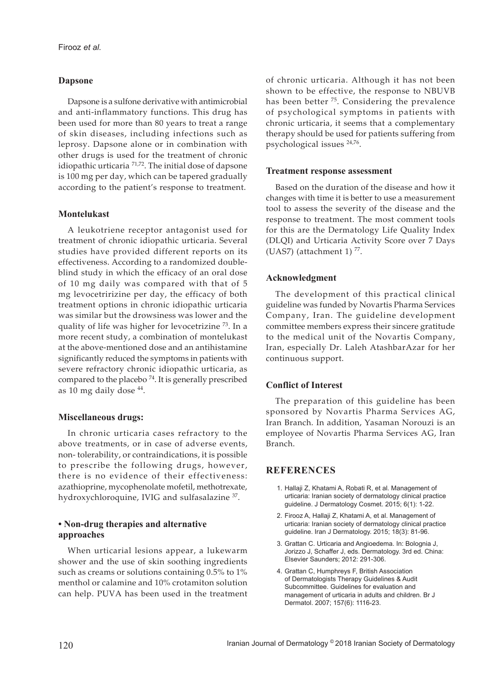## **Dapsone**

Dapsone is a sulfone derivative with antimicrobial and anti-inflammatory functions. This drug has been used for more than 80 years to treat a range of skin diseases, including infections such as leprosy. Dapsone alone or in combination with other drugs is used for the treatment of chronic idiopathic urticaria  $71.72$ . The initial dose of dapsone is 100 mg per day, which can be tapered gradually according to the patient's response to treatment.

## **Montelukast**

A leukotriene receptor antagonist used for treatment of chronic idiopathic urticaria. Several studies have provided different reports on its effectiveness. According to a randomized doubleblind study in which the efficacy of an oral dose of 10 mg daily was compared with that of 5 mg levocetririzine per day, the efficacy of both treatment options in chronic idiopathic urticaria was similar but the drowsiness was lower and the quality of life was higher for levocetrizine <sup>73</sup>. In a more recent study, a combination of montelukast at the above-mentioned dose and an antihistamine significantly reduced the symptoms in patients with severe refractory chronic idiopathic urticaria, as compared to the placebo<sup>74</sup>. It is generally prescribed as 10 mg daily dose <sup>44</sup>.

## **Miscellaneous drugs:**

In chronic urticaria cases refractory to the above treatments, or in case of adverse events, non- tolerability, or contraindications, it is possible to prescribe the following drugs, however, there is no evidence of their effectiveness: azathioprine, mycophenolate mofetil, methotrexate, hydroxychloroquine, IVIG and sulfasalazine 37.

## **• Non-drug therapies and alternative approaches**

When urticarial lesions appear, a lukewarm shower and the use of skin soothing ingredients such as creams or solutions containing 0.5% to 1% menthol or calamine and 10% crotamiton solution can help. PUVA has been used in the treatment

of chronic urticaria. Although it has not been shown to be effective, the response to NBUVB has been better <sup>75</sup>. Considering the prevalence of psychological symptoms in patients with chronic urticaria, it seems that a complementary therapy should be used for patients suffering from psychological issues 24,76.

#### **Treatment response assessment**

Based on the duration of the disease and how it changes with time it is better to use a measurement tool to assess the severity of the disease and the response to treatment. The most comment tools for this are the Dermatology Life Quality Index (DLQI) and Urticaria Activity Score over 7 Days (UAS7) (attachment 1) $77$ .

#### **Acknowledgment**

The development of this practical clinical guideline was funded by Novartis Pharma Services Company, Iran. The guideline development committee members express their sincere gratitude to the medical unit of the Novartis Company, Iran, especially Dr. Laleh AtashbarAzar for her continuous support.

#### **Conflict of Interest**

The preparation of this guideline has been sponsored by Novartis Pharma Services AG, Iran Branch. In addition, Yasaman Norouzi is an employee of Novartis Pharma Services AG, Iran Branch.

## **REFERENCES**

- 1. Hallaji Z, Khatami A, Robati R, et al. Management of urticaria: Iranian society of dermatology clinical practice guideline. J Dermatology Cosmet. 2015; 6(1): 1-22.
- 2. Firooz A, Hallaji Z, Khatami A, et al. Management of urticaria: Iranian society of dermatology clinical practice guideline. Iran J Dermatology. 2015; 18(3): 81-96.
- 3. Grattan C. Urticaria and Angioedema. In: Bolognia J, Jorizzo J, Schaffer J, eds. Dermatology. 3rd ed. China: Elsevier Saunders; 2012: 291-306.
- 4. Grattan C, Humphreys F, British Association of Dermatologists Therapy Guidelines & Audit Subcommittee. Guidelines for evaluation and management of urticaria in adults and children. Br J Dermatol. 2007; 157(6): 1116-23.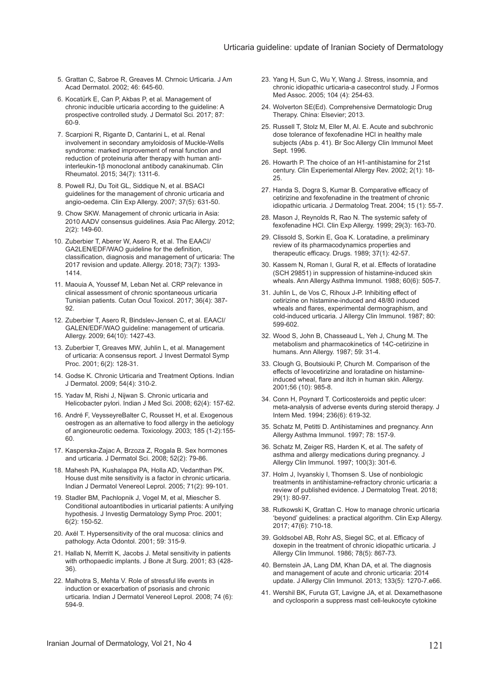- 5. Grattan C, Sabroe R, Greaves M. Chrnoic Urticaria. J Am Acad Dermatol. 2002; 46: 645-60.
- 6. Kocatürk E, Can P, Akbas P, et al. Management of chronic inducible urticaria according to the guideline: A prospective controlled study. J Dermatol Sci. 2017; 87: 60-9.
- 7. Scarpioni R, Rigante D, Cantarini L, et al. Renal involvement in secondary amyloidosis of Muckle-Wells syndrome: marked improvement of renal function and reduction of proteinuria after therapy with human antiinterleukin-1β monoclonal antibody canakinumab. Clin Rheumatol. 2015; 34(7): 1311-6.
- 8. Powell RJ, Du Toit GL, Siddique N, et al. BSACI guidelines for the management of chronic urticaria and angio-oedema. Clin Exp Allergy. 2007; 37(5): 631-50.
- 9. Chow SKW. Management of chronic urticaria in Asia: 2010 AADV consensus guidelines. Asia Pac Allergy. 2012; 2(2): 149-60.
- 10. Zuberbier T, Aberer W, Asero R, et al. The EAACI/ GA2LEN/EDF/WAO guideline for the definition, classification, diagnosis and management of urticaria: The 2017 revision and update. Allergy. 2018; 73(7): 1393- 1414.
- 11. Maouia A, Youssef M, Leban Net al. CRP relevance in clinical assessment of chronic spontaneous urticaria Tunisian patients. Cutan Ocul Toxicol. 2017; 36(4): 387- 92.
- 12. Zuberbier T, Asero R, Bindslev-Jensen C, et al. EAACI/ GALEN/EDF/WAO guideline: management of urticaria. Allergy. 2009; 64(10): 1427-43.
- 13. Zuberbier T, Greaves MW, Juhlin L, et al. Management of urticaria: A consensus report. J Invest Dermatol Symp Proc. 2001; 6(2): 128-31.
- 14. Godse K. Chronic Urticaria and Treatment Options. Indian J Dermatol. 2009; 54(4): 310-2.
- 15. Yadav M, Rishi J, Nijwan S. Chronic urticaria and Helicobacter pylori. Indian J Med Sci. 2008; 62(4): 157-62.
- 16. André F, VeysseyreBalter C, Rousset H, et al. Exogenous oestrogen as an alternative to food allergy in the aetiology of angioneurotic oedema. Toxicology. 2003; 185 (1-2):155- 60.
- 17. Kasperska-Zajac A, Brzoza Z, Rogala B. Sex hormones and urticaria. J Dermatol Sci. 2008; 52(2): 79-86.
- 18. Mahesh PA, Kushalappa PA, Holla AD, Vedanthan PK. House dust mite sensitivity is a factor in chronic urticaria. Indian J Dermatol Venereol Leprol. 2005; 71(2): 99-101.
- 19. Stadler BM, Pachlopnik J, Vogel M, et al, Miescher S. Conditional autoantibodies in urticarial patients: A unifying hypothesis. J Investig Dermatology Symp Proc. 2001; 6(2): 150-52.
- 20. Axél T. Hypersensitivity of the oral mucosa: clinics and pathology. Acta Odontol. 2001; 59: 315-9.
- 21. Hallab N, Merritt K, Jacobs J. Metal sensitivity in patients with orthopaedic implants. J Bone Jt Surg. 2001; 83 (428- 36).
- 22. Malhotra S, Mehta V. Role of stressful life events in induction or exacerbation of psoriasis and chronic urticaria. Indian J Dermatol Venereol Leprol. 2008; 74 (6): 594-9.
- 23. Yang H, Sun C, Wu Y, Wang J. Stress, insomnia, and chronic idiopathic urticaria-a casecontrol study. J Formos Med Assoc. 2005; 104 (4): 254-63.
- 24. Wolverton SE(Ed). Comprehensive Dermatologic Drug Therapy. China: Elsevier; 2013.
- 25. Russell T, Stolz M, Eller M, Al. E. Acute and subchronic dose tolerance of fexofenadine HCl in healthy male subjects (Abs p. 41). Br Soc Allergy Clin Immunol Meet Sept. 1996.
- 26. Howarth P. The choice of an H1-antihistamine for 21st century. Clin Experiemental Allergy Rev. 2002; 2(1): 18- 25.
- 27. Handa S, Dogra S, Kumar B. Comparative efficacy of cetirizine and fexofenadine in the treatment of chronic idiopathic urticaria. J Dermatolog Treat. 2004; 15 (1): 55-7.
- 28. Mason J, Reynolds R, Rao N. The systemic safety of fexofenadine HCl. Clin Exp Allergy. 1999; 29(3): 163-70.
- 29. Clissold S, Sorkin E, Goa K. Loratadine, a preliminary review of its pharmacodynamics properties and therapeutic efficacy. Drugs. 1989; 37(1): 42-57.
- 30. Kassem N, Roman I, Gural R, et al. Effects of loratadine (SCH 29851) in suppression of histamine-induced skin wheals. Ann Allergy Asthma Immunol. 1988; 60(6): 505-7.
- 31. Juhlin L, de Vos C, Rihoux J-P. Inhibiting effect of cetirizine on histamine-induced and 48/80 induced wheals and flares, experimental dermographism, and cold-induced urticaria. J Allergy Clin Immunol. 1987; 80: 599-602.
- 32. Wood S, John B, Chasseaud L, Yeh J, Chung M. The metabolism and pharmacokinetics of 14C-cetirizine in humans. Ann Allergy. 1987; 59: 31-4.
- 33. Clough G, Boutsiouki P, Church M. Comparison of the effects of levocetirizine and loratadine on histamineinduced wheal, flare and itch in human skin. Allergy. 2001;56 (10): 985-8.
- 34. Conn H, Poynard T. Corticosteroids and peptic ulcer: meta-analysis of adverse events during steroid therapy. J Intern Med. 1994; 236(6): 619-32.
- 35. Schatz M, Petitti D. Antihistamines and pregnancy. Ann Allergy Asthma Immunol. 1997; 78: 157-9.
- 36. Schatz M, Zeiger RS, Harden K, et al. The safety of asthma and allergy medications during pregnancy. J Allergy Clin Immunol. 1997; 100(3): 301-6.
- 37. Holm J, Ivyanskiy I, Thomsen S. Use of nonbiologic treatments in antihistamine-refractory chronic urticaria: a review of published evidence. J Dermatolog Treat. 2018; 29(1): 80-97.
- 38. Rutkowski K, Grattan C. How to manage chronic urticaria 'beyond' guidelines: a practical algorithm. Clin Exp Allergy. 2017; 47(6): 710-18.
- 39. Goldsobel AB, Rohr AS, Siegel SC, et al. Efficacy of doxepin in the treatment of chronic idiopathic urticaria. J Allergy Clin Immunol. 1986; 78(5): 867-73.
- 40. Bernstein JA, Lang DM, Khan DA, et al. The diagnosis and management of acute and chronic urticaria: 2014 update. J Allergy Clin Immunol. 2013; 133(5): 1270-7.e66.
- 41. Wershil BK, Furuta GT, Lavigne JA, et al. Dexamethasone and cyclosporin a suppress mast cell-leukocyte cytokine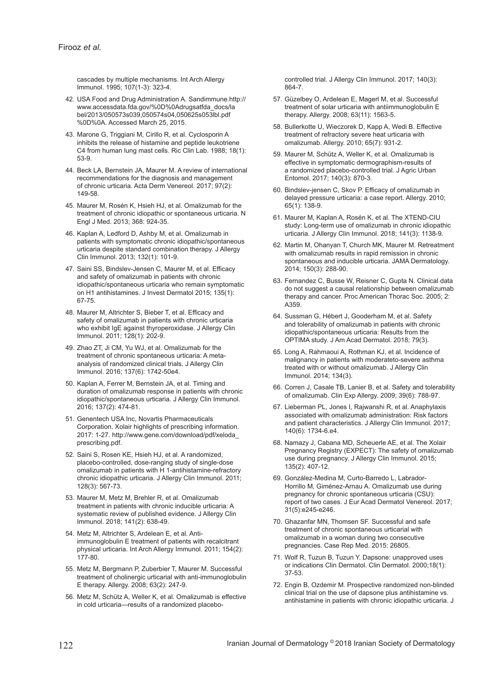cascades by multiple mechanisms. Int Arch Allergy Immunol. 1995; 107(1-3): 323-4.

- 42. USA Food and Drug Administration A. Sandimmune.http:// www.accessdata.fda.gov/%0D%0Adrugsatfda\_docs/la bel/2013/050573s039,050574s04,050625s053lbl.pdf %0D%0A. Accessed March 25, 2015.
- 43. Marone G, Triggiani M, Cirillo R, et al. Cyclosporin A inhibits the release of histamine and peptide leukotriene C4 from human lung mast cells. Ric Clin Lab. 1988; 18(1): 53-9.
- 44. Beck LA, Bernstein JA, Maurer M. A review of international recommendations for the diagnosis and management of chronic urticaria. Acta Derm Venereol. 2017; 97(2): 149-58.
- 45. Maurer M, Rosén K, Hsieh HJ, et al. Omalizumab for the treatment of chronic idiopathic or spontaneous urticaria. N Engl J Med. 2013; 368: 924-35.
- 46. Kaplan A, Ledford D, Ashby M, et al. Omalizumab in patients with symptomatic chronic idiopathic/spontaneous urticaria despite standard combination therapy. J Allergy Clin Immunol. 2013; 132(1): 101-9.
- 47. Saini SS, Bindslev-Jensen C, Maurer M, et al. Efficacy and safety of omalizumab in patients with chronic idiopathic/spontaneous urticaria who remain symptomatic on H1 antihistamines. J Invest Dermatol 2015; 135(1): 67-75.
- 48. Maurer M, Altrichter S, Bieber T, et al. Efficacy and safety of omalizumab in patients with chronic urticaria who exhibit IgE against thyroperoxidase. J Allergy Clin Immunol. 2011; 128(1): 202-9.
- 49. Zhao ZT, Ji CM, Yu WJ, et al. Omalizumab for the treatment of chronic spontaneous urticaria: A metaanalysis of randomized clinical trials. J Allergy Clin Immunol. 2016; 137(6): 1742-50e4.
- 50. Kaplan A, Ferrer M, Bernstein JA, et al. Timing and duration of omalizumab response in patients with chronic idiopathic/spontaneous urticaria. J Allergy Clin Immunol. 2016; 137(2): 474-81.
- 51. Genentech USA Inc, Novartis Pharmaceuticals Corporation. Xolair highlights of prescribing information. 2017: 1-27. http://www.gene.com/download/pdf/xeloda\_ prescribing.pdf.
- 52. Saini S, Rosen KE, Hsieh HJ, et al. A randomized, placebo-controlled, dose-ranging study of single-dose omalizumab in patients with H 1-antihistamine-refractory chronic idiopathic urticaria. J Allergy Clin Immunol. 2011; 128(3): 567-73.
- 53. Maurer M, Metz M, Brehler R, et al. Omalizumab treatment in patients with chronic inducible urticaria: A systematic review of published evidence. J Allergy Clin Immunol. 2018; 141(2): 638-49.
- 54. Metz M, Altrichter S, Ardelean E, et al. Antiimmunoglobulin E treatment of patients with recalcitrant physical urticaria. Int Arch Allergy Immunol. 2011; 154(2): 177-80.
- 55. Metz M, Bergmann P, Zuberbier T, Maurer M. Successful treatment of cholinergic urticarial with anti-immunoglobulin E therapy. Allergy. 2008; 63(2): 247-9.
- 56. Metz M, Schütz A, Weller K, et al. Omalizumab is effective in cold urticaria—results of a randomized placebo-

controlled trial. J Allergy Clin Immunol. 2017; 140(3): 864-7.

- 57. Güzelbey O, Ardelean E, Magerl M, et al. Successful treatment of solar urticaria with antiimmunoglobulin E therapy. Allergy. 2008; 63(11): 1563-5.
- 58. Bullerkotte U, Wieczorek D, Kapp A, Wedi B. Effective treatment of refractory severe heat urticaria with omalizumab. Allergy. 2010; 65(7): 931-2.
- 59. Maurer M, Schütz A, Weller K, et al. Omalizumab is effective in symptomatic dermographism-results of a randomized placebo-controlled trial. J Agric Urban Entomol. 2017; 140(3): 870-3.
- 60. Bindslev-jensen C, Skov P. Efficacy of omalizumab in delayed pressure urticaria: a case report. Allergy. 2010; 65(1): 138-9.
- 61. Maurer M, Kaplan A, Rosén K, et al. The XTEND-CIU study: Long-term use of omalizumab in chronic idiopathic urticaria. J Allergy Clin Immunol. 2018; 141(3): 1138-9.
- 62. Martin M, Ohanyan T, Church MK, Maurer M. Retreatment with omalizumab results in rapid remission in chronic spontaneous and inducible urticaria. JAMA Dermatology. 2014; 150(3): 288-90.
- 63. Fernandez C, Busse W, Reisner C, Gupta N. Clinical data do not suggest a causal relationship between omalizumab therapy and cancer. Proc American Thorac Soc. 2005; 2: A359.
- 64. Sussman G, Hébert J, Gooderham M, et al. Safety and tolerability of omalizumab in patients with chronic idiopathic/spontaneous urticaria: Results from the OPTIMA study. J Am Acad Dermatol. 2018; 79(3).
- 65. Long A, Rahmaoui A, Rothman KJ, et al. Incidence of malignancy in patients with moderateto-severe asthma treated with or without omalizumab. J Allergy Clin Immunol. 2014; 134(3).
- 66. Corren J, Casale TB, Lanier B, et al. Safety and tolerability of omalizumab. Clin Exp Allergy. 2009; 39(6): 788-97.
- 67. Lieberman PL, Jones I, Rajwanshi R, et al. Anaphylaxis associated with omalizumab administration: Risk factors and patient characteristics. J Allergy Clin Immunol. 2017; 140(6): 1734-6.e4.
- 68. Namazy J, Cabana MD, Scheuerle AE, et al. The Xolair Pregnancy Registry (EXPECT): The safety of omalizumab use during pregnancy. J Allergy Clin Immunol. 2015; 135(2): 407-12.
- 69. González-Medina M, Curto-Barredo L, Labrador-Horrillo M, Giménez-Arnau A. Omalizumab use during pregnancy for chronic spontaneous urticaria (CSU): report of two cases. J Eur Acad Dermatol Venereol. 2017; 31(5):e245-e246.
- 70. Ghazanfar MN, Thomsen SF. Successful and safe treatment of chronic spontaneous urticarial with omalizumab in a woman during two consecutive pregnancies. Case Rep Med. 2015: 26805.
- 71. Wolf R, Tuzun B, Tuzun Y. Dapsone: unapproved uses or indications Clin Dermatol. Clin Dermatol. 2000;18(1): 37-53.
- 72. Engin B, Ozdemir M. Prospective randomized non-blinded clinical trial on the use of dapsone plus antihistamine vs. antihistamine in patients with chronic idiopathic urticaria. J